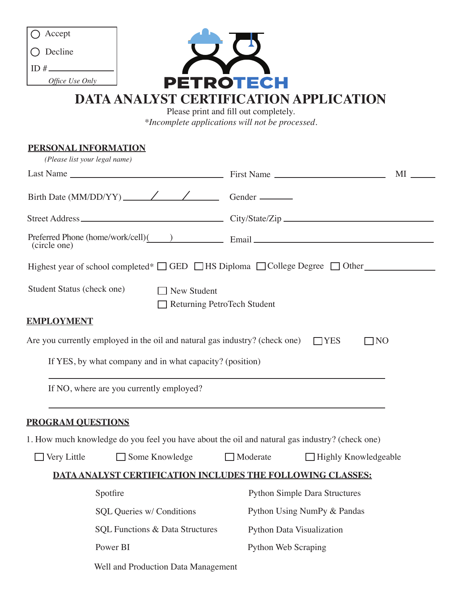| Accept                                                                                                                                                                        |                                                |                                                       |    |
|-------------------------------------------------------------------------------------------------------------------------------------------------------------------------------|------------------------------------------------|-------------------------------------------------------|----|
| Decline                                                                                                                                                                       |                                                |                                                       |    |
| Office Use Only                                                                                                                                                               |                                                |                                                       |    |
| PETROTECH<br>DATA ANALYST CERTIFICATION APPLICATION<br>Please print and fill out completely.<br>*Incomplete applications will not be processed.                               |                                                |                                                       |    |
|                                                                                                                                                                               |                                                | PERSONAL INFORMATION<br>(Please list your legal name) |    |
|                                                                                                                                                                               |                                                |                                                       | MI |
|                                                                                                                                                                               |                                                |                                                       |    |
|                                                                                                                                                                               |                                                |                                                       |    |
| (circle one)                                                                                                                                                                  |                                                |                                                       |    |
| Highest year of school completed* $\Box$ GED $\Box$ HS Diploma $\Box$ College Degree $\Box$ Other<br>Student Status (check one)<br>New Student<br>Returning PetroTech Student |                                                |                                                       |    |
|                                                                                                                                                                               |                                                | <b>EMPLOYMENT</b>                                     |    |
| Are you currently employed in the oil and natural gas industry? (check one)<br>$\neg$ YES<br>$\overline{N}$                                                                   |                                                |                                                       |    |
| If YES, by what company and in what capacity? (position)                                                                                                                      |                                                |                                                       |    |
| If NO, where are you currently employed?                                                                                                                                      |                                                |                                                       |    |
| <b>PROGRAM QUESTIONS</b>                                                                                                                                                      |                                                |                                                       |    |
|                                                                                                                                                                               |                                                |                                                       |    |
| 1. How much knowledge do you feel you have about the oil and natural gas industry? (check one)                                                                                |                                                |                                                       |    |
| Some Knowledge<br>Very Little                                                                                                                                                 | $\Box$ Moderate<br>$\Box$ Highly Knowledgeable |                                                       |    |
| DATA ANALYST CERTIFICATION INCLUDES THE FOLLOWING CLASSES:                                                                                                                    |                                                |                                                       |    |
| Spotfire                                                                                                                                                                      | <b>Python Simple Dara Structures</b>           |                                                       |    |
| SQL Queries w/ Conditions                                                                                                                                                     | Python Using NumPy & Pandas                    |                                                       |    |
| SQL Functions & Data Structures                                                                                                                                               | Python Data Visualization                      |                                                       |    |

Well and Production Data Management